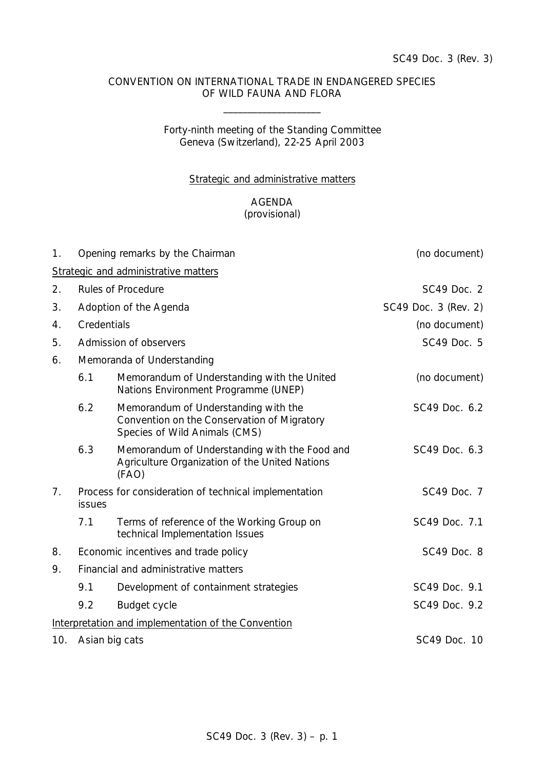#### CONVENTION ON INTERNATIONAL TRADE IN ENDANGERED SPECIES OF WILD FAUNA AND FLORA

\_\_\_\_\_\_\_\_\_\_\_\_\_\_\_\_\_\_\_\_

## Forty-ninth meeting of the Standing Committee Geneva (Switzerland), 22-25 April 2003

#### Strategic and administrative matters

### AGENDA (provisional)

| 1 <sub>1</sub> |                                                                        | Opening remarks by the Chairman                                                                                      | (no document)        |  |
|----------------|------------------------------------------------------------------------|----------------------------------------------------------------------------------------------------------------------|----------------------|--|
|                |                                                                        | Strategic and administrative matters                                                                                 |                      |  |
| 2.             |                                                                        | <b>Rules of Procedure</b>                                                                                            | SC49 Doc. 2          |  |
| 3.             |                                                                        | Adoption of the Agenda                                                                                               | SC49 Doc. 3 (Rev. 2) |  |
| 4.             | Credentials                                                            |                                                                                                                      | (no document)        |  |
| 5.             | Admission of observers<br>SC49 Doc. 5                                  |                                                                                                                      |                      |  |
| 6.             |                                                                        | Memoranda of Understanding                                                                                           |                      |  |
|                | 6.1                                                                    | Memorandum of Understanding with the United<br>Nations Environment Programme (UNEP)                                  | (no document)        |  |
|                | 6.2                                                                    | Memorandum of Understanding with the<br>Convention on the Conservation of Migratory<br>Species of Wild Animals (CMS) | SC49 Doc. 6.2        |  |
|                | 6.3                                                                    | Memorandum of Understanding with the Food and<br>Agriculture Organization of the United Nations<br>(FAO)             | SC49 Doc. 6.3        |  |
| 7 <sub>1</sub> | Process for consideration of technical implementation<br><b>issues</b> |                                                                                                                      | SC49 Doc. 7          |  |
|                | 7.1                                                                    | Terms of reference of the Working Group on<br>technical Implementation Issues                                        | SC49 Doc. 7.1        |  |
| 8.             | Economic incentives and trade policy                                   |                                                                                                                      | SC49 Doc. 8          |  |
| 9.             | Financial and administrative matters                                   |                                                                                                                      |                      |  |
|                | 9.1                                                                    | Development of containment strategies                                                                                | SC49 Doc. 9.1        |  |
|                | 9.2                                                                    | Budget cycle                                                                                                         | SC49 Doc. 9.2        |  |
|                |                                                                        | Interpretation and implementation of the Convention                                                                  |                      |  |
| 10.            | Asian big cats                                                         |                                                                                                                      | SC49 Doc. 10         |  |